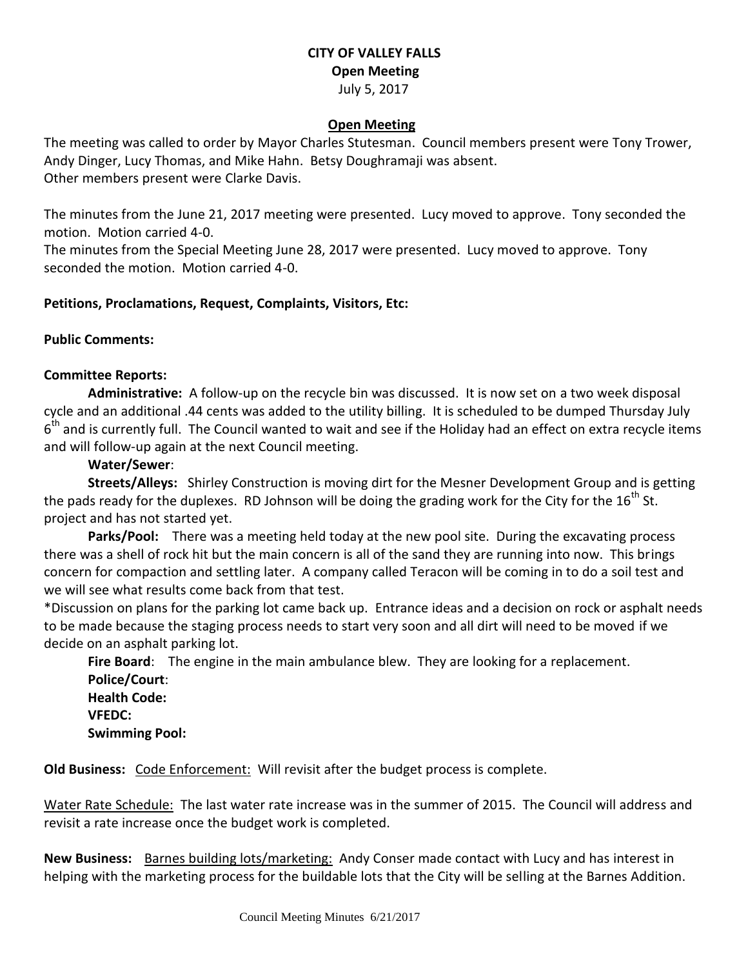### **CITY OF VALLEY FALLS Open Meeting** July 5, 2017

#### **Open Meeting**

The meeting was called to order by Mayor Charles Stutesman. Council members present were Tony Trower, Andy Dinger, Lucy Thomas, and Mike Hahn. Betsy Doughramaji was absent. Other members present were Clarke Davis.

The minutes from the June 21, 2017 meeting were presented. Lucy moved to approve. Tony seconded the motion. Motion carried 4-0.

The minutes from the Special Meeting June 28, 2017 were presented. Lucy moved to approve. Tony seconded the motion. Motion carried 4-0.

#### **Petitions, Proclamations, Request, Complaints, Visitors, Etc:**

#### **Public Comments:**

#### **Committee Reports:**

**Administrative:** A follow-up on the recycle bin was discussed. It is now set on a two week disposal cycle and an additional .44 cents was added to the utility billing. It is scheduled to be dumped Thursday July 6<sup>th</sup> and is currently full. The Council wanted to wait and see if the Holiday had an effect on extra recycle items and will follow-up again at the next Council meeting.

#### **Water/Sewer**:

**Streets/Alleys:** Shirley Construction is moving dirt for the Mesner Development Group and is getting the pads ready for the duplexes. RD Johnson will be doing the grading work for the City for the 16<sup>th</sup> St. project and has not started yet.

**Parks/Pool:** There was a meeting held today at the new pool site. During the excavating process there was a shell of rock hit but the main concern is all of the sand they are running into now. This brings concern for compaction and settling later. A company called Teracon will be coming in to do a soil test and we will see what results come back from that test.

\*Discussion on plans for the parking lot came back up. Entrance ideas and a decision on rock or asphalt needs to be made because the staging process needs to start very soon and all dirt will need to be moved if we decide on an asphalt parking lot.

**Fire Board**: The engine in the main ambulance blew. They are looking for a replacement. **Police/Court**: **Health Code: VFEDC: Swimming Pool:** 

**Old Business:** Code Enforcement: Will revisit after the budget process is complete.

Water Rate Schedule: The last water rate increase was in the summer of 2015. The Council will address and revisit a rate increase once the budget work is completed.

New Business: Barnes building lots/marketing: Andy Conser made contact with Lucy and has interest in helping with the marketing process for the buildable lots that the City will be selling at the Barnes Addition.